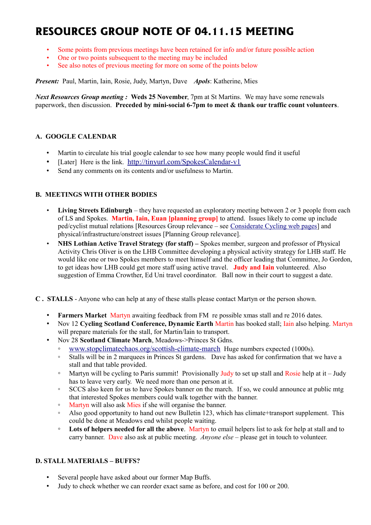# **RESOURCES GROUP NOTE OF 04.11.15 MEETING**

- Some points from previous meetings have been retained for info and/or future possible action
- One or two points subsequent to the meeting may be included
- See also notes of previous meeting for more on some of the points below

*Present:* Paul, Martin, Iain, Rosie, Judy, Martyn, Dave *Apols*: Katherine, Mies

*Next Resources Group meeting :* **Weds 25 November**, 7pm at St Martins. We may have some renewals paperwork, then discussion. **Preceded by mini-social 6-7pm to meet & thank our traffic count volunteers**.

### **A. GOOGLE CALENDAR**

- Martin to circulate his trial google calendar to see how many people would find it useful
- [Later] Here is the link. <http://tinyurl.com/SpokesCalendar-v1>
- Send any comments on its contents and/or usefulness to Martin.

### **B. MEETINGS WITH OTHER BODIES**

- **Living Streets Edinburgh** they have requested an exploratory meeting between 2 or 3 people from each of LS and Spokes. **Martin, Iain, Euan [planning group]** to attend. Issues likely to come up include ped/cyclist mutual relations [Resources Group relevance – see [Considerate Cycling web pages\]](http://www.spokes.org.uk/documents/advice/considerate-cycling/) and physical/infrastructure/onstreet issues [Planning Group relevance].
- **NHS Lothian Active Travel Strategy (for staff) –** Spokes member, surgeon and professor of Physical Activity Chris Oliver is on the LHB Committee developing a physical activity strategy for LHB staff. He would like one or two Spokes members to meet himself and the officer leading that Committee, Jo Gordon, to get ideas how LHB could get more staff using active travel. **Judy and Iain** volunteered. Also suggestion of Emma Crowther, Ed Uni travel coordinator. Ball now in their court to suggest a date.
- **C . STALLS** Anyone who can help at any of these stalls please contact Martyn or the person shown.
	- **Farmers Market** Martyn awaiting feedback from FM re possible xmas stall and re 2016 dates.
	- Nov 12 **Cycling Scotland Conference, Dynamic Earth** Martin has booked stall; Iain also helping. Martyn will prepare materials for the stall, for Martin/Iain to transport.
	- Nov 28 **Scotland Climate March**, Meadows->Princes St Gdns.
		- [www.stopclimatechaos.org/scottish-climate-march](http://www.stopclimatechaos.org/scottish-climate-march) Huge numbers expected (1000s).
		- Stalls will be in 2 marquees in Princes St gardens. Dave has asked for confirmation that we have a stall and that table provided.
		- Martyn will be cycling to Paris summit! Provisionally Judy to set up stall and Rosie help at it Judy has to leave very early. We need more than one person at it.
		- SCCS also keen for us to have Spokes banner on the march. If so, we could announce at public mtg that interested Spokes members could walk together with the banner.
		- Martyn will also ask Mies if she will organise the banner.
		- Also good opportunity to hand out new Bulletin 123, which has climate+transport supplement. This could be done at Meadows end whilst people waiting.
		- **Lots of helpers needed for all the above**. Martyn to email helpers list to ask for help at stall and to carry banner. Dave also ask at public meeting. *Anyone else* – please get in touch to volunteer.

### **D. STALL MATERIALS – BUFFS?**

- Several people have asked about our former Map Buffs.
- Judy to check whether we can reorder exact same as before, and cost for 100 or 200.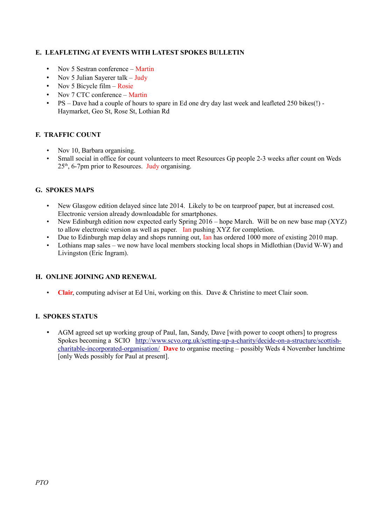## **E. LEAFLETING AT EVENTS WITH LATEST SPOKES BULLETIN**

- Nov 5 Sestran conference Martin
- Nov 5 Julian Sayerer talk Judy
- Nov 5 Bicycle film Rosie
- Nov 7 CTC conference Martin
- PS Dave had a couple of hours to spare in Ed one dry day last week and leafleted 250 bikes(!) Haymarket, Geo St, Rose St, Lothian Rd

### **F. TRAFFIC COUNT**

- Nov 10, Barbara organising.
- Small social in office for count volunteers to meet Resources Gp people 2-3 weeks after count on Weds  $25<sup>th</sup>$ , 6-7pm prior to Resources. Judy organising.

### **G. SPOKES MAPS**

- New Glasgow edition delayed since late 2014. Likely to be on tearproof paper, but at increased cost. Electronic version already downloadable for smartphones.
- New Edinburgh edition now expected early Spring 2016 hope March. Will be on new base map (XYZ) to allow electronic version as well as paper. Ian pushing XYZ for completion.
- Due to Edinburgh map delay and shops running out, Ian has ordered 1000 more of existing 2010 map.
- Lothians map sales we now have local members stocking local shops in Midlothian (David W-W) and Livingston (Eric Ingram).

### **H. ONLINE JOINING AND RENEWAL**

• **Clair**, computing adviser at Ed Uni, working on this. Dave & Christine to meet Clair soon.

### **I. SPOKES STATUS**

• AGM agreed set up working group of Paul, Ian, Sandy, Dave [with power to coopt others] to progress Spokes becoming a SCIO [http://www.scvo.org.uk/setting-up-a-charity/decide-on-a-structure/scottish](http://www.scvo.org.uk/setting-up-a-charity/decide-on-a-structure/scottish-charitable-incorporated-organisation/)[charitable-incorporated-organisation/](http://www.scvo.org.uk/setting-up-a-charity/decide-on-a-structure/scottish-charitable-incorporated-organisation/) **Dave** to organise meeting – possibly Weds 4 November lunchtime [only Weds possibly for Paul at present].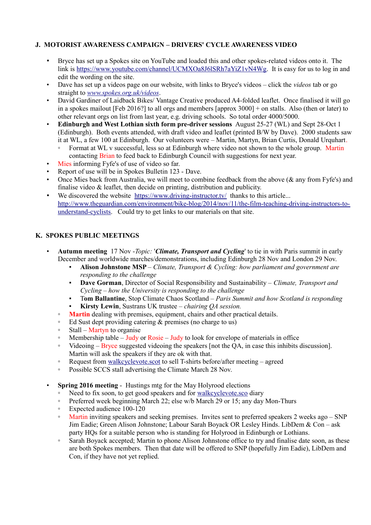## **J. MOTORIST AWARENESS CAMPAIGN – DRIVERS' CYCLE AWARENESS VIDEO**

- Bryce has set up a Spokes site on YouTube and loaded this and other spokes-related videos onto it. The link is [https://www.youtube.com/channel/UCMXOa8J6lSRh7aYiZ1vN4Wg.](https://www.youtube.com/channel/UCMXOa8J6lSRh7aYiZ1vN4Wg) It is easy for us to log in and edit the wording on the site.
- Dave has set up a videos page on our website, with links to Bryce's videos click the *videos* tab or go straight to *[www.spokes.org.uk/videos](http://www.spokes.org.uk/videos)*.
- David Gardiner of Laidback Bikes/ Vantage Creative produced A4-folded leaflet. Once finalised it will go in a spokes mailout [Feb 2016?] to all orgs and members [approx 3000] + on stalls. Also (then or later) to other relevant orgs on list from last year, e.g. driving schools. So total order 4000/5000.
- **Edinburgh and West Lothian sixth form pre-driver sessions** August 25-27 (WL) and Sept 28-Oct 1 (Edinburgh). Both events attended, with draft video and leaflet (printed B/W by Dave). 2000 students saw it at WL, a few 100 at Edinburgh. Our volunteers were – Martin, Martyn, Brian Curtis, Donald Urquhart.
	- Format at WL v successful, less so at Edinburgh where video not shown to the whole group. Martin contacting Brian to feed back to Edinburgh Council with suggestions for next year.
- Mies informing Fyfe's of use of video so far.
- Report of use will be in Spokes Bulletin 123 Dave.
- Once Mies back from Australia, we will meet to combine feedback from the above ( $\&$  any from Fyfe's) and finalise video & leaflet, then decide on printing, distribution and publicity.
- We discovered the website <https://www.driving-instructor.tv/>thanks to this article... [http://www.theguardian.com/environment/bike-blog/2014/nov/11/the-film-teaching-driving-instructors-to](http://www.theguardian.com/environment/bike-blog/2014/nov/11/the-film-teaching-driving-instructors-to-understand-cyclists)[understand-cyclists.](http://www.theguardian.com/environment/bike-blog/2014/nov/11/the-film-teaching-driving-instructors-to-understand-cyclists) Could try to get links to our materials on that site.

#### **K. SPOKES PUBLIC MEETINGS**

- **Autumn meeting** 17 Nov -*Topic:* '*Climate, Transport and Cycling*' to tie in with Paris summit in early December and worldwide marches/demonstrations, including Edinburgh 28 Nov and London 29 Nov.
	- **Alison Johnstone MSP** *Climate, Transport & Cycling: how parliament and government are responding to the challenge*
	- **Dave Gorman**, Director of Social Responsibility and Sustainability *Climate, Transport and Cycling – how the University is responding to the challenge*
	- T**om Ballantine**, Stop Climate Chaos Scotland *Paris Summit and how Scotland is responding* **Kirsty Lewin**, Sustrans UK trustee – *chairing OA session*.
	- **Martin** dealing with premises, equipment, chairs and other practical details.
	- Ed Sust dept providing catering & premises (no charge to us)
	- Stall Martyn to organise
	- $\degree$  Membership table Judy or Rosie Judy to look for envelope of materials in office
	- Videoing Bryce suggested videoing the speakers [not the QA, in case this inhibits discussion]. Martin will ask the speakers if they are ok with that.
	- Request from [walkcyclevote.scot](http://walkcyclevote.scot/) to sell T-shirts before/after meeting agreed
	- Possible SCCS stall advertising the Climate March 28 Nov.
- **Spring 2016 meeting Hustings mtg for the May Holyrood elections** 
	- Need to fix soon, to get good speakers and for [walkcyclevote.sco](http://walkcyclevote.scot/) diary
	- Preferred week beginning March 22; else w/b March 29 or 15; any day Mon-Thurs
	- Expected audience 100-120
	- Martin inviting speakers and seeking premises. Invites sent to preferred speakers 2 weeks ago SNP Jim Eadie; Green Alison Johnstone; Labour Sarah Boyack OR Lesley Hinds. LibDem & Con – ask party HQs for a suitable person who is standing for Holyrood in Edinburgh or Lothians.
	- Sarah Boyack accepted; Martin to phone Alison Johnstone office to try and finalise date soon, as these are both Spokes members. Then that date will be offered to SNP (hopefully Jim Eadie), LibDem and Con, if they have not yet replied.